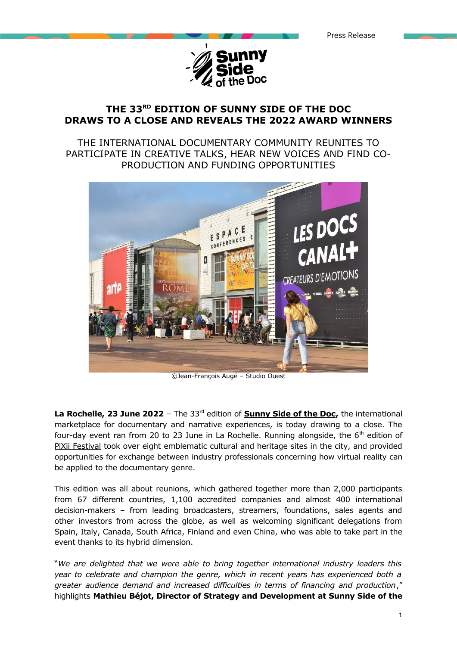

# **THE 33RD EDITION OF SUNNY SIDE OF THE DOC DRAWS TO A CLOSE AND REVEALS THE 2022 AWARD WINNERS**

## THE INTERNATIONAL DOCUMENTARY COMMUNITY REUNITES TO PARTICIPATE IN CREATIVE TALKS, HEAR NEW VOICES AND FIND CO-PRODUCTION AND FUNDING OPPORTUNITIES



©Jean-François Augé – Studio Ouest

La Rochelle, 23 June 2022 - The 33<sup>rd</sup> edition of **Sunny Side of the Doc**, the international marketplace for documentary and narrative experiences, is today drawing to a close. The four-day event ran from 20 to 23 June in La Rochelle. Running alongside, the  $6<sup>th</sup>$  edition of [PiXii Festival](https://www.pixii-larochelle.fr/) took over eight emblematic cultural and heritage sites in the city, and provided opportunities for exchange between industry professionals concerning how virtual reality can be applied to the documentary genre.

This edition was all about reunions, which gathered together more than 2,000 participants from 67 different countries, 1,100 accredited companies and almost 400 international decision-makers – from leading broadcasters, streamers, foundations, sales agents and other investors from across the globe, as well as welcoming significant delegations from Spain, Italy, Canada, South Africa, Finland and even China, who was able to take part in the event thanks to its hybrid dimension.

"*We are delighted that we were able to bring together international industry leaders this year to celebrate and champion the genre, which in recent years has experienced both a greater audience demand and increased difficulties in terms of financing and production*," highlights **Mathieu Béjot, Director of Strategy and Development at Sunny Side of the**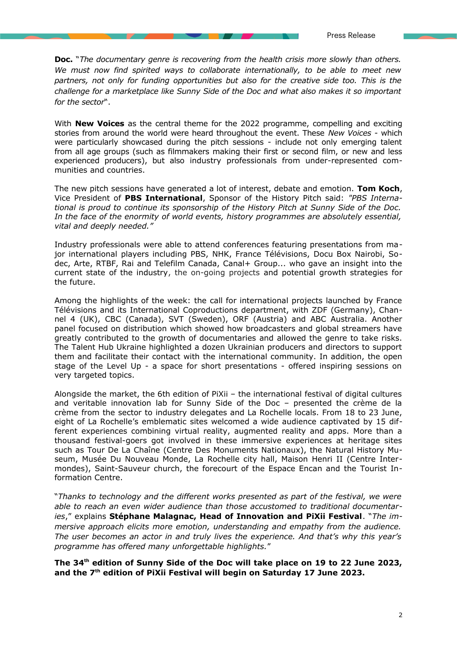**Doc.** "*The documentary genre is recovering from the health crisis more slowly than others. We must now find spirited ways to collaborate internationally, to be able to meet new partners, not only for funding opportunities but also for the creative side too. This is the challenge for a marketplace like Sunny Side of the Doc and what also makes it so important for the sector*".

With **New Voices** as the central theme for the 2022 programme, compelling and exciting stories from around the world were heard throughout the event. These *New Voices* - which were particularly showcased during the pitch sessions - include not only emerging talent from all age groups (such as filmmakers making their first or second film, or new and less experienced producers), but also industry professionals from under-represented communities and countries.

The new pitch sessions have generated a lot of interest, debate and emotion. **Tom Koch**, Vice President of **PBS International**, Sponsor of the History Pitch said: *"PBS International is proud to continue its sponsorship of the History Pitch at Sunny Side of the Doc. In the face of the enormity of world events, history programmes are absolutely essential, vital and deeply needed."*

Industry professionals were able to attend conferences featuring presentations from major international players including PBS, NHK, France Télévisions, Docu Box Nairobi, Sodec, Arte, RTBF, Rai and Telefilm Canada, Canal+ Group... who gave an insight into the current state of the industry, the on-going projects and potential growth strategies for the future.

Among the highlights of the week: the call for international projects launched by France Télévisions and its International Coproductions department, with ZDF (Germany), Channel 4 (UK), CBC (Canada), SVT (Sweden), ORF (Austria) and ABC Australia. Another panel focused on distribution which showed how broadcasters and global streamers have greatly contributed to the growth of documentaries and allowed the genre to take risks. The Talent Hub Ukraine highlighted a dozen Ukrainian producers and directors to support them and facilitate their contact with the international community. In addition, the open stage of the Level Up - a space for short presentations - offered inspiring sessions on very targeted topics.

Alongside the market, the 6th edition of PiXii – the international festival of digital cultures and veritable innovation lab for Sunny Side of the Doc – presented the crème de la crème from the sector to industry delegates and La Rochelle locals. From 18 to 23 June, eight of La Rochelle's emblematic sites welcomed a wide audience captivated by 15 different experiences combining virtual reality, augmented reality and apps. More than a thousand festival-goers got involved in these immersive experiences at heritage sites such as Tour De La Chaîne (Centre Des Monuments Nationaux), the Natural History Museum, Musée Du Nouveau Monde, La Rochelle city hall, Maison Henri II (Centre Intermondes), Saint-Sauveur church, the forecourt of the Espace Encan and the Tourist Information Centre.

"*Thanks to technology and the different works presented as part of the festival, we were able to reach an even wider audience than those accustomed to traditional documentaries*," explains **Stéphane Malagnac, Head of Innovation and PiXii Festival**. "*The immersive approach elicits more emotion, understanding and empathy from the audience. The user becomes an actor in and truly lives the experience. And that's why this year's programme has offered many unforgettable highlights.*"

**The 34th edition of Sunny Side of the Doc will take place on 19 to 22 June 2023, and the 7th edition of PiXii Festival will begin on Saturday 17 June 2023.**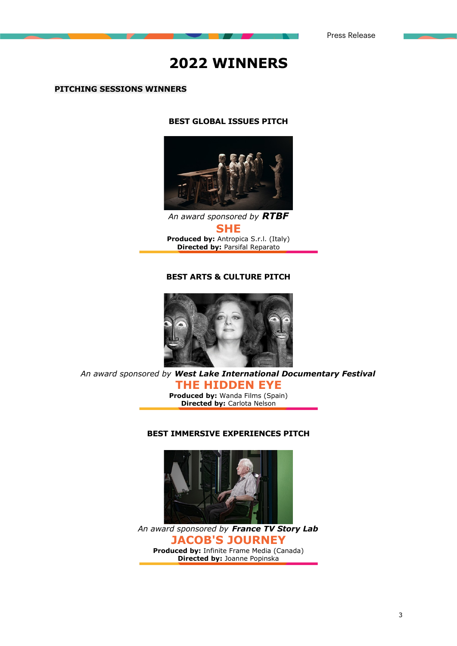# **2022 WINNERS**

#### **PITCHING SESSIONS WINNERS**

#### **BEST GLOBAL ISSUES PITCH**



*An award sponsored by RTBF* **SHE Produced by:** Antropica S.r.l. (Italy) **Directed by:** Parsifal Reparato

#### **BEST ARTS & CULTURE PITCH**



*An award sponsored by West Lake International Documentary Festival*

**THE HIDDEN EYE Produced by: Wanda Films (Spain) Directed by:** Carlota Nelson

#### **BEST IMMERSIVE EXPERIENCES PITCH**



*An award sponsored by France TV Story Lab* **JACOB'S JOURNEY Produced by:** Infinite Frame Media (Canada) **Directed by:** Joanne Popinska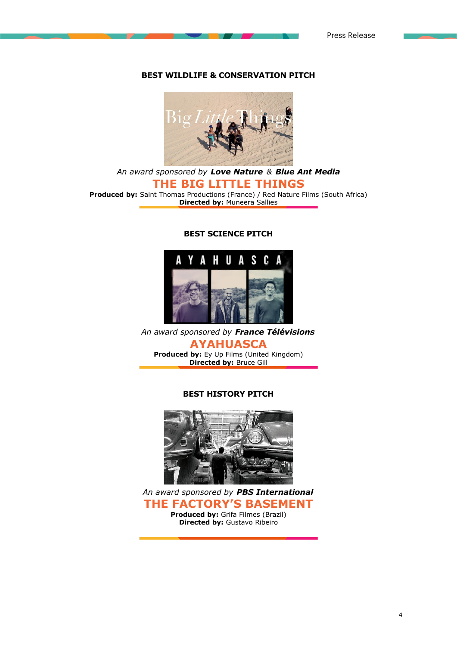#### **BEST WILDLIFE & CONSERVATION PITCH**



*An award sponsored by [Love Nature](https://lovenature.com/) & [Blue Ant Media](https://blueantmedia.com/)* **THE BIG LITTLE THINGS Produced by:** Saint Thomas Productions (France) / Red Nature Films (South Africa) **Directed by:** Muneera Sallies

#### **BEST SCIENCE PITCH**



*An award sponsored by France Télévisions*

**AYAHUASCA Produced by:** Ey Up Films (United Kingdom) **Directed by:** Bruce Gill

#### **BEST HISTORY PITCH**



*An award sponsored by PBS International* **THE FACTORY'S BASEMENT**

**Produced by:** Grifa Filmes (Brazil) **Directed by:** Gustavo Ribeiro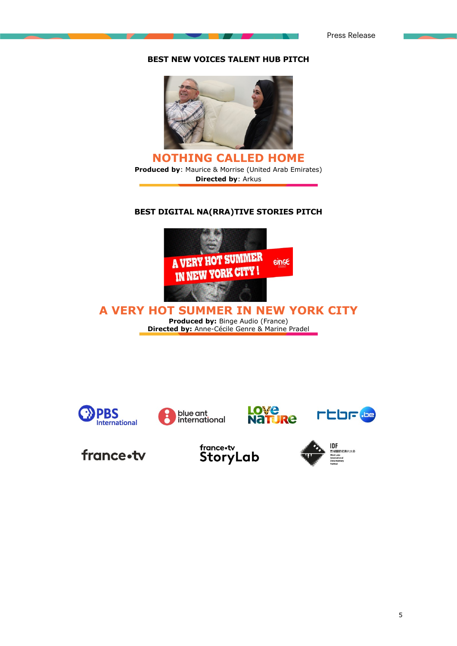Press Release

#### **BEST NEW VOICES TALENT HUB PITCH**



**NOTHING CALLED HOME Produced by**: Maurice & Morrise (United Arab Emirates) **Directed by**: Arkus

#### **BEST DIGITAL NA(RRA)TIVE STORIES PITCH**



**A VERY HOT SUMMER IN NEW YORK CITY Produced by:** Binge Audio (France) **Directed by:** Anne-Cécile Genre & Marine Pradel









france.tv

france.tv<br>StoryLab

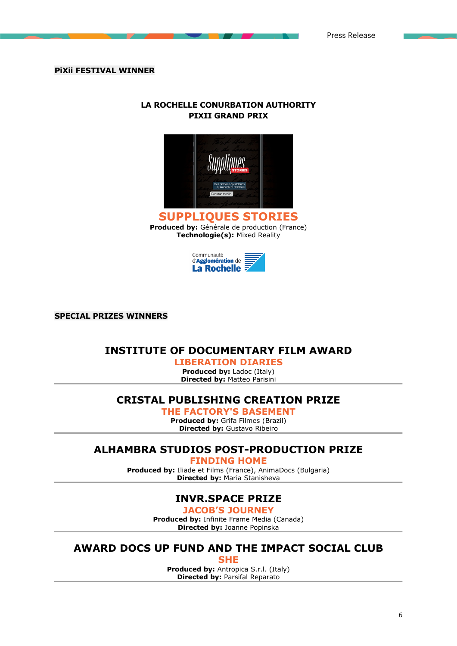#### **PiXii FESTIVAL WINNER**

#### **LA ROCHELLE CONURBATION AUTHORITY PIXII GRAND PRIX**





**SPECIAL PRIZES WINNERS**

### **INSTITUTE OF DOCUMENTARY FILM AWARD**

**LIBERATION DIARIES Produced by:** Ladoc (Italy) **Directed by:** Matteo Parisini

# **CRISTAL PUBLISHING CREATION PRIZE**

**THE FACTORY'S BASEMENT**

**Produced by:** Grifa Filmes (Brazil) **Directed by:** Gustavo Ribeiro

# **ALHAMBRA STUDIOS POST-PRODUCTION PRIZE**

**FINDING HOME**

**Produced by:** Iliade et Films (France), AnimaDocs (Bulgaria) **Directed by:** Maria Stanisheva

# **INVR.SPACE PRIZE**

**JACOB'S JOURNEY**

**Produced by:** Infinite Frame Media (Canada) **Directed by:** Joanne Popinska

# **AWARD DOCS UP FUND AND THE IMPACT SOCIAL CLUB**

**SHE Produced by:** Antropica S.r.l. (Italy) **Directed by:** Parsifal Reparato